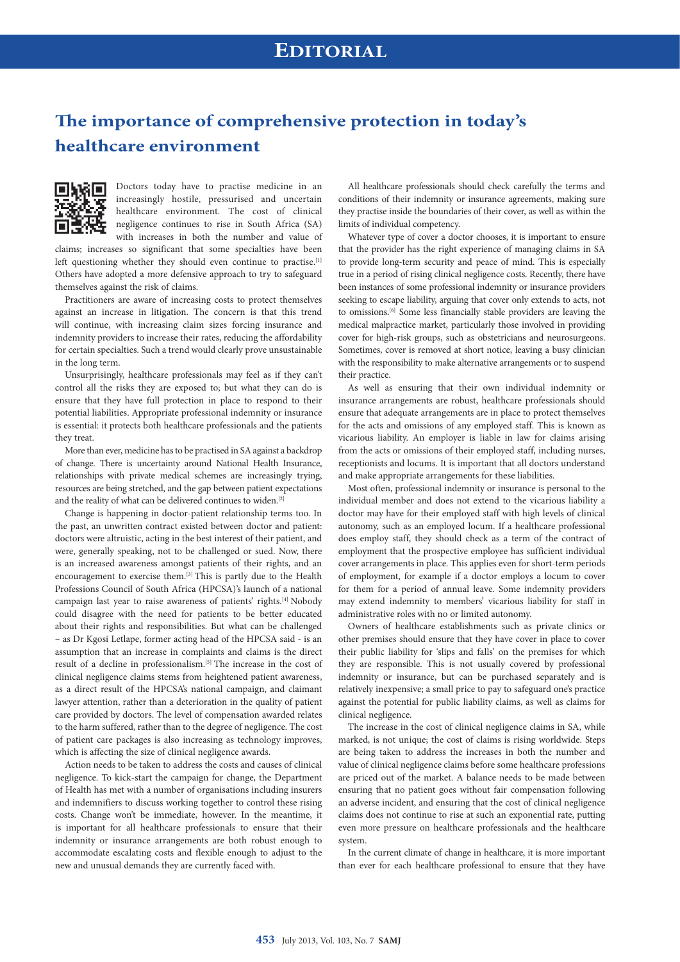# **The importance of comprehensive protection in today's healthcare environment**



Doctors today have to practise medicine in an increasingly hostile, pressurised and uncertain healthcare environment. The cost of clinical negligence continues to rise in South Africa (SA) with increases in both the number and value of

claims; increases so significant that some specialties have been left questioning whether they should even continue to practise.<sup>[1]</sup> Others have adopted a more defensive approach to try to safeguard themselves against the risk of claims.

Practitioners are aware of increasing costs to protect themselves against an increase in litigation. The concern is that this trend will continue, with increasing claim sizes forcing insurance and indemnity providers to increase their rates, reducing the affordability for certain specialties. Such a trend would clearly prove unsustainable in the long term.

Unsurprisingly, healthcare professionals may feel as if they can't control all the risks they are exposed to; but what they can do is ensure that they have full protection in place to respond to their potential liabilities. Appropriate professional indemnity or insurance is essential: it protects both healthcare professionals and the patients they treat.

More than ever, medicine has to be practised in SA against a backdrop of change. There is uncertainty around National Health Insurance, relationships with private medical schemes are increasingly trying, resources are being stretched, and the gap between patient expectations and the reality of what can be delivered continues to widen.[2]

Change is happening in doctor-patient relationship terms too. In the past, an unwritten contract existed between doctor and patient: doctors were altruistic, acting in the best interest of their patient, and were, generally speaking, not to be challenged or sued. Now, there is an increased awareness amongst patients of their rights, and an encouragement to exercise them.[3] This is partly due to the Health Professions Council of South Africa (HPCSA)'s launch of a national campaign last year to raise awareness of patients' rights.[4] Nobody could disagree with the need for patients to be better educated about their rights and responsibilities. But what can be challenged – as Dr Kgosi Letlape, former acting head of the HPCSA said - is an assumption that an increase in complaints and claims is the direct result of a decline in professionalism.[5] The increase in the cost of clinical negligence claims stems from heightened patient awareness, as a direct result of the HPCSA's national campaign, and claimant lawyer attention, rather than a deterioration in the quality of patient care provided by doctors. The level of compensation awarded relates to the harm suffered, rather than to the degree of negligence. The cost of patient care packages is also increasing as technology improves, which is affecting the size of clinical negligence awards.

Action needs to be taken to address the costs and causes of clinical negligence. To kick-start the campaign for change, the Department of Health has met with a number of organisations including insurers and indemnifiers to discuss working together to control these rising costs. Change won't be immediate, however. In the meantime, it is important for all healthcare professionals to ensure that their indemnity or insurance arrangements are both robust enough to accommodate escalating costs and flexible enough to adjust to the new and unusual demands they are currently faced with.

All healthcare professionals should check carefully the terms and conditions of their indemnity or insurance agreements, making sure they practise inside the boundaries of their cover, as well as within the limits of individual competency.

Whatever type of cover a doctor chooses, it is important to ensure that the provider has the right experience of managing claims in SA to provide long-term security and peace of mind. This is especially true in a period of rising clinical negligence costs. Recently, there have been instances of some professional indemnity or insurance providers seeking to escape liability, arguing that cover only extends to acts, not to omissions.[6] Some less financially stable providers are leaving the medical malpractice market, particularly those involved in providing cover for high-risk groups, such as obstetricians and neurosurgeons. Sometimes, cover is removed at short notice, leaving a busy clinician with the responsibility to make alternative arrangements or to suspend their practice.

As well as ensuring that their own individual indemnity or insurance arrangements are robust, healthcare professionals should ensure that adequate arrangements are in place to protect themselves for the acts and omissions of any employed staff. This is known as vicarious liability. An employer is liable in law for claims arising from the acts or omissions of their employed staff, including nurses, receptionists and locums. It is important that all doctors understand and make appropriate arrangements for these liabilities.

Most often, professional indemnity or insurance is personal to the individual member and does not extend to the vicarious liability a doctor may have for their employed staff with high levels of clinical autonomy, such as an employed locum. If a healthcare professional does employ staff, they should check as a term of the contract of employment that the prospective employee has sufficient individual cover arrangements in place. This applies even for short-term periods of employment, for example if a doctor employs a locum to cover for them for a period of annual leave. Some indemnity providers may extend indemnity to members' vicarious liability for staff in administrative roles with no or limited autonomy.

Owners of healthcare establishments such as private clinics or other premises should ensure that they have cover in place to cover their public liability for 'slips and falls' on the premises for which they are responsible. This is not usually covered by professional indemnity or insurance, but can be purchased separately and is relatively inexpensive; a small price to pay to safeguard one's practice against the potential for public liability claims, as well as claims for clinical negligence.

The increase in the cost of clinical negligence claims in SA, while marked, is not unique; the cost of claims is rising worldwide. Steps are being taken to address the increases in both the number and value of clinical negligence claims before some healthcare professions are priced out of the market. A balance needs to be made between ensuring that no patient goes without fair compensation following an adverse incident, and ensuring that the cost of clinical negligence claims does not continue to rise at such an exponential rate, putting even more pressure on healthcare professionals and the healthcare system.

In the current climate of change in healthcare, it is more important than ever for each healthcare professional to ensure that they have